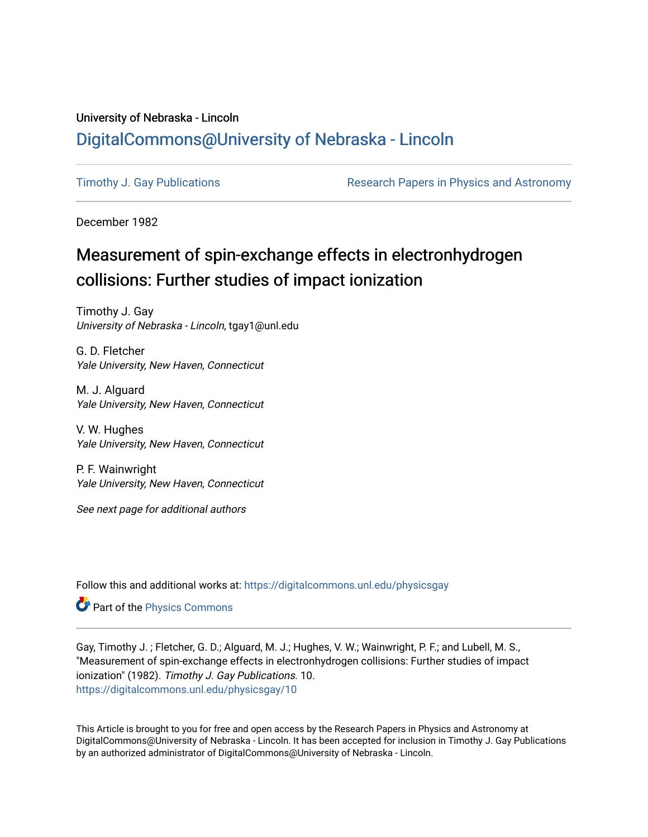### University of Nebraska - Lincoln [DigitalCommons@University of Nebraska - Lincoln](https://digitalcommons.unl.edu/)

[Timothy J. Gay Publications](https://digitalcommons.unl.edu/physicsgay) **Research Papers in Physics and Astronomy** 

December 1982

# Measurement of spin-exchange effects in electronhydrogen collisions: Further studies of impact ionization

Timothy J. Gay University of Nebraska - Lincoln, tgay1@unl.edu

G. D. Fletcher Yale University, New Haven, Connecticut

M. J. Alguard Yale University, New Haven, Connecticut

V. W. Hughes Yale University, New Haven, Connecticut

P. F. Wainwright Yale University, New Haven, Connecticut

See next page for additional authors

Follow this and additional works at: [https://digitalcommons.unl.edu/physicsgay](https://digitalcommons.unl.edu/physicsgay?utm_source=digitalcommons.unl.edu%2Fphysicsgay%2F10&utm_medium=PDF&utm_campaign=PDFCoverPages)

Part of the [Physics Commons](http://network.bepress.com/hgg/discipline/193?utm_source=digitalcommons.unl.edu%2Fphysicsgay%2F10&utm_medium=PDF&utm_campaign=PDFCoverPages)

Gay, Timothy J. ; Fletcher, G. D.; Alguard, M. J.; Hughes, V. W.; Wainwright, P. F.; and Lubell, M. S., "Measurement of spin-exchange effects in electronhydrogen collisions: Further studies of impact ionization" (1982). Timothy J. Gay Publications. 10. [https://digitalcommons.unl.edu/physicsgay/10](https://digitalcommons.unl.edu/physicsgay/10?utm_source=digitalcommons.unl.edu%2Fphysicsgay%2F10&utm_medium=PDF&utm_campaign=PDFCoverPages) 

This Article is brought to you for free and open access by the Research Papers in Physics and Astronomy at DigitalCommons@University of Nebraska - Lincoln. It has been accepted for inclusion in Timothy J. Gay Publications by an authorized administrator of DigitalCommons@University of Nebraska - Lincoln.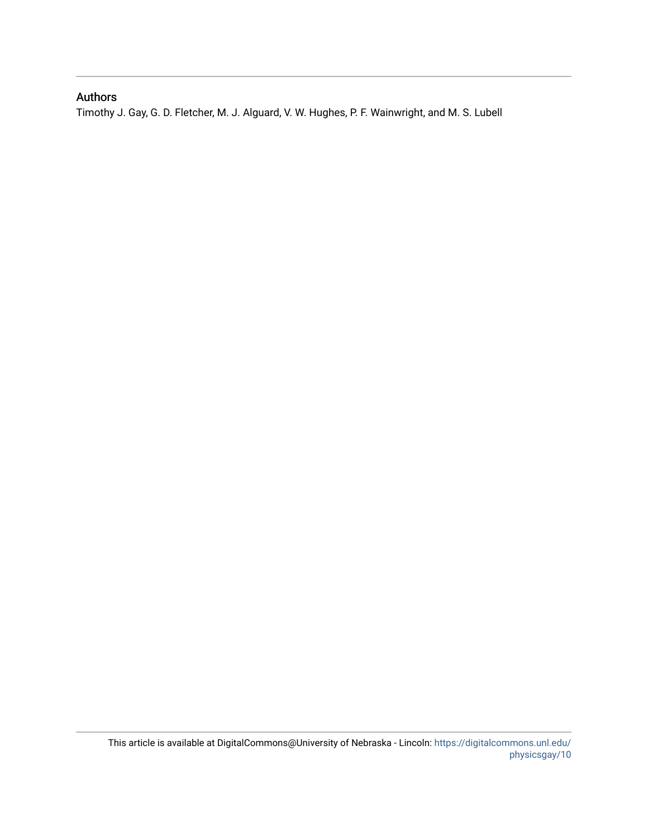### Authors

Timothy J. Gay, G. D. Fletcher, M. J. Alguard, V. W. Hughes, P. F. Wainwright, and M. S. Lubell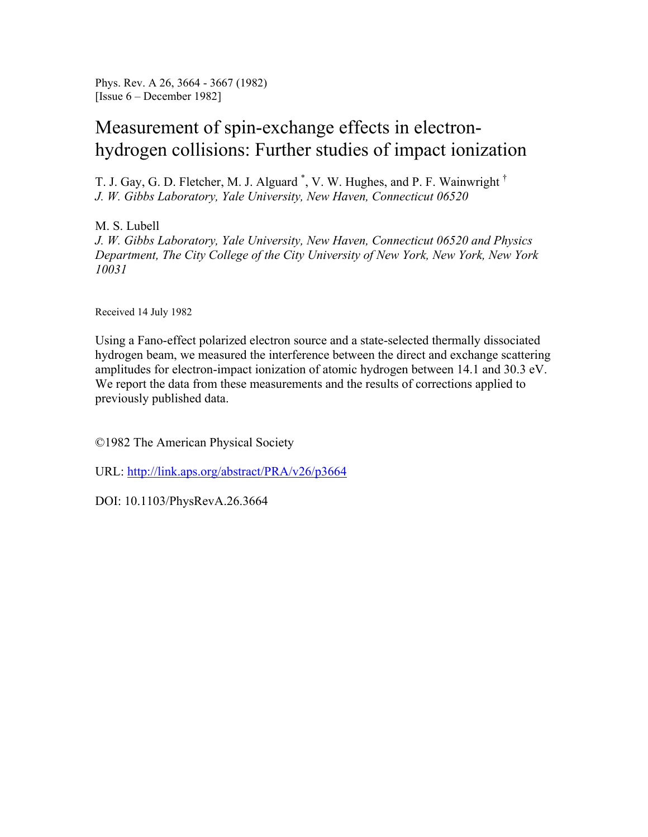Phys. Rev. A 26, 3664 - 3667 (1982) [Issue 6 – December 1982]

## Measurement of spin-exchange effects in electronhydrogen collisions: Further studies of impact ionization

T. J. Gay, G. D. Fletcher, M. J. Alguard<sup>\*</sup>, V. W. Hughes, and P. F. Wainwright<sup>†</sup> *J. W. Gibbs Laboratory, Yale University, New Haven, Connecticut 06520* 

M. S. Lubell *J. W. Gibbs Laboratory, Yale University, New Haven, Connecticut 06520 and Physics Department, The City College of the City University of New York, New York, New York 10031* 

Received 14 July 1982

Using a Fano-effect polarized electron source and a state-selected thermally dissociated hydrogen beam, we measured the interference between the direct and exchange scattering amplitudes for electron-impact ionization of atomic hydrogen between 14.1 and 30.3 eV. We report the data from these measurements and the results of corrections applied to previously published data.

©1982 The American Physical Society

URL: http://link.aps.org/abstract/PRA/v26/p3664

DOI: 10.1103/PhysRevA.26.3664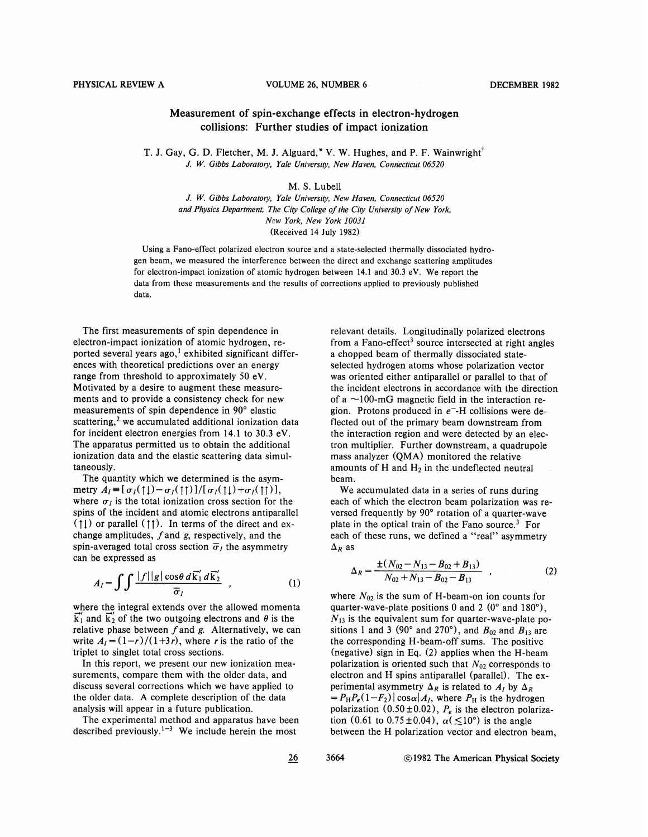#### PHYSICAL REVIEW A VOLUME **26,** NUMBER *6* DECEMBER 1982

### Measurement of spin-exchange effects in electron-hydrogen collisions: Further studies of impact ionization

T. J. Gay, G. D. Fletcher, M. J. Alguard,\* V. W. Hughes, and P. F. Wainwright<sup>†</sup> *J. W. Gibbs Laboratory, Yale University, New Haven, Connecticut 06520* 

#### M. S. Lube11

J. W. *Gibbs Laboratory, Yale University, New Haven, Connecticut <sup>06520</sup> and Physics Department, The City College of the City University of New York, N-w York, New York 10031*  (Received 14 July 1982)

Using a Fano-effect polarized electron source and a state-selected thermally dissociated hydrogen beam, we measured the interference between the direct and exchange scattering amplitudes for electron-impact ionization of atomic hydrogen between 14.1 and 30.3 eV. We report the data from these measurements and the results of corrections applied to previously published data.

The first measurements of spin dependence in electron-impact ionization of atomic hydrogen, reported several years ago,<sup>1</sup> exhibited significant differences with theoretical predictions over an energy range from threshold to approximately 50 eV. Motivated by a desire to augment these measurements and to provide a consistency check for new measurements of spin dependence in 90° elastic scattering, $<sup>2</sup>$  we accumulated additional ionization data</sup> for incident electron energies from 14.1 to **30.3** eV. The apparatus permitted us to obtain the additional ionization data and the elastic scattering data simultaneouslv.

The quantity which we determined is the asymmetry  $A_I = [\sigma_I(\uparrow\downarrow) - \sigma_I(\uparrow\uparrow)]/[\sigma_I(\uparrow\downarrow) + \sigma_I(\uparrow\uparrow)]$ , where  $\sigma_l$  is the total ionization cross section for the spins of the incident and atomic electrons antiparallel  $( \uparrow \downarrow )$  or parallel  $( \uparrow \uparrow )$ . In terms of the direct and exchange amplitudes,  $f$  and  $g$ , respectively, and the spin-averaged total cross section  $\bar{\sigma}_l$  the asymmetry can be expressed as

$$
A_{I} = \int \int \frac{|f||g|\cos\theta \, d\vec{k}'_1 \, d\vec{k}'_2}{\overline{\sigma}_I} \quad , \tag{1}
$$

where the integral extends over the allowed momenta  $k_1$  and  $k_2$  of the two outgoing electrons and  $\theta$  is the relative phase between  $f$  and  $g$ . Alternatively, we can write  $A_1 = (1 - r)/(1 + 3r)$ , where r is the ratio of the triplet to singlet total cross sections.

In this report, we present our new ionization measurements, compare them with the older data, and discuss several corrections which we have applied to the older data. A complete description of the data analysis will appear in a future publication.

The experimental method and apparatus have been described previously.<sup>1-3</sup> We include herein the most

relevant details. Longitudinally polarized electrons from a Fano-effect<sup>3</sup> source intersected at right angles a chopped beam of thermally dissociated stateselected hydrogen atoms whose polarization vector was oriented either antiparallel or parallel to that of the incident electrons in accordance with the direction of a  $\sim$ 100-mG magnetic field in the interaction region. Protons produced in  $e^-$ -H collisions were deflected out of the primary beam downstream from the interaction region and were detected by an electron multiplier. Further downstream, a quadrupole mass analyzer (QMA) monitored the relative amounts of *H* and *Hz* in the undeflected neutral beam.

We accumulated data in a series of runs during each of which the electron beam polarization was reversed frequently by 90" rotation of a quarter-wave plate in the optical train of the Fano source. $3$  For each of these runs, we defined a "real" asymmetry  $\Delta_R$  as

$$
\Delta_R = \frac{\pm (N_{02} - N_{13} - B_{02} + B_{13})}{N_{02} + N_{13} - B_{02} - B_{13}} \quad , \tag{2}
$$

where  $N_{02}$  is the sum of H-beam-on ion counts for quarter-wave-plate positions 0 and 2 ( $0^{\circ}$  and  $180^{\circ}$ ),  $N_{13}$  is the equivalent sum for quarter-wave-plate positions 1 and 3 (90° and 270°), and  $B_{02}$  and  $B_{13}$  are the corresponding H-beam-off sums. The positive (negative) sign in Eq. (2) applies when the H-beam polarization is oriented such that  $N_{02}$  corresponds to electron and H spins antiparallel (parallel). The experimental asymmetry  $\Delta_R$  is related to  $A_I$  by  $\Delta_R$  $= P_H P_e (1 - F_2) |\cos \alpha| A_l$ , where  $P_H$  is the hydrogen polarization  $(0.50 \pm 0.02)$ ,  $P_e$  is the electron polarization (0.61 to 0.75  $\pm$ 0.04),  $\alpha$ ( $\leq$ 10°) is the angle between the H polarization vector and electron beam,

26 3664 © 1982 The American Physical Society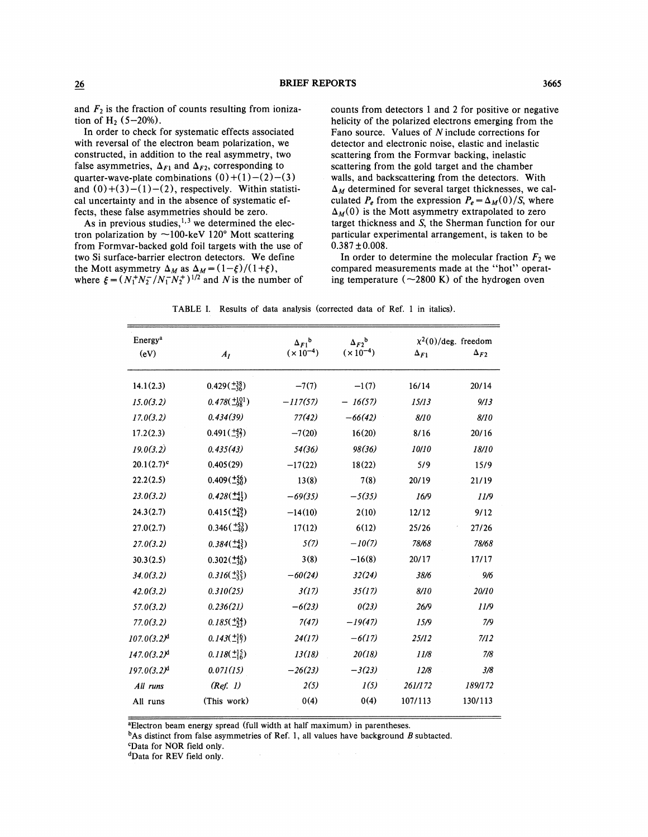and  $F_2$  is the fraction of counts resulting from ionization of Hz *(5-20%).* 

In order to check for systematic effects associated with reversal of the electron beam polarization, we constructed, in addition to the real asymmetry, two false asymmetries,  $\Delta_{F1}$  and  $\Delta_{F2}$ , corresponding to quarter-wave-plate combinations  $(0)+(1)-(2)-(3)$ and  $(0)+(3)-(1)-(2)$ , respectively. Within statistical uncertainty and in the absence of systematic effects, these false asymmetries should be zero.

As in previous studies,  $1,3$  we determined the electron polarization by  $\sim$ 100-keV 120° Mott scattering from Formvar-backed gold foil targets with the use of two Si surface-barrier electron detectors. We define the Mott asymmetry  $\Delta_M$  as  $\Delta_M = (1 - \xi)/(1 + \xi)$ , where  $\xi = (N_1^+ N_2^- / N_1^- N_2^+)^{1/2}$  and *N* is the number of counts from detectors 1 and 2 for positive or negative helicity of the polarized electrons emerging from the Fano source. Values of *N* include corrections for detector and electronic noise, elastic and inelastic scattering from the Formvar backing, inelastic scattering from the gold target and the chamber walls, and backscattering from the detectors. With  $\Delta_M$  determined for several target thicknesses, we calculated  $P_e$  from the expression  $P_e = \Delta_M(0)/S$ , where  $\Delta_M(0)$  is the Mott asymmetry extrapolated to zero target thickness and **S,** the Sherman function for our particular experimental arrangement, is taken to be  $0.387 \pm 0.008$ .

In order to determine the molecular fraction  $F_2$  we compared measurements made at the "hot" operating temperature  $({\sim}2800 \text{ K})$  of the hydrogen oven

TABLE I. Results of data analysis (corrected data of Ref. 1 in italics).

| Energy <sup>a</sup>       | $A_I$                     | $\Delta_{F1}^{\ b}$<br>$(x 10^{-4})$ | $\Delta_{F2}^{\ b}$<br>$(x 10^{-4})$ | $\chi^2(0)/\text{deg.}$ freedom |               |
|---------------------------|---------------------------|--------------------------------------|--------------------------------------|---------------------------------|---------------|
| (eV)                      |                           |                                      |                                      | $\Delta_{F1}$                   | $\Delta_{F2}$ |
| 14.1(2.3)                 | $0.429(\pm_{36}^{+38})$   | $-7(7)$                              | $-1(7)$                              | 16/14                           | 20/14         |
| 15.0(3.2)                 | $0.478(\pm^{101}_{98})$   | $-117(57)$                           | $-16(57)$                            | 15/13                           | 9/13          |
| 17.0(3.2)                 | 0.434(39)                 | 77(42)                               | $-66(42)$                            | 8/10                            | 8/10          |
| 17.2(2.3)                 | $0.491(\frac{+42}{-37})$  | $-7(20)$                             | 16(20)                               | 8/16                            | 20/16         |
| 19.0(3.2)                 | 0.435(43)                 | 54(36)                               | 98(36)                               | 10/10                           | 18/10         |
| $20.1(2.7)^c$             | 0.405(29)                 | $-17(22)$                            | 18(22)                               | 5/9                             | 15/9          |
| 22.2(2.5)                 | $0.409(\pm\frac{56}{50})$ | 13(8)                                | 7(8)                                 | 20/19                           | 21/19         |
| 23.0(3.2)                 | $0.428(\pm 41)$           | $-69(35)$                            | $-5(35)$                             | 16/9                            | 11/9          |
| 24.3(2.7)                 | $0.415(\pm_{42}^{49})$    | $-14(10)$                            | 2(10)                                | 12/12                           | 9/12          |
| 27.0(2.7)                 | $0.346(\pm_{49}^{53})$    | 17(12)                               | 6(12)                                | 25/26                           | 27/26         |
| 27.0(3.2)                 | $0.384(\pm_{45}^{43})$    | 5(7)                                 | $-10(7)$                             | 78/68                           | 78/68         |
| 30.3(2.5)                 | $0.302(\pm^{45}_{30})$    | 3(8)                                 | $-16(8)$                             | 20/17                           | 17/17         |
| 34.0(3.2)                 | $0.316(\frac{+35}{-33})$  | $-60(24)$                            | 32(24)                               | 38/6                            | 9/6           |
| 42.0(3.2)                 | 0.310(25)                 | 3(17)                                | 35(17)                               | 8/10                            | 20/10         |
| 57.0(3.2)                 | 0.236(21)                 | $-6(23)$                             | 0(23)                                | 26/9                            | 11/9          |
| 77.0(3.2)                 | $0.185(\pm^{24}_{23})$    | 7(47)                                | $-19(47)$                            | 15/9                            | 7/9           |
| $107.0(3.2)^d$            | $0.143(\pm_{17}^{16})$    | 24(17)                               | $-6(17)$                             | 25/12                           | 7/12          |
| $147.0(3.2)$ <sup>d</sup> | $0.118(\pm_{16}^{15})$    | 13(18)                               | 20(18)                               | 11/8                            | 7/8           |
| $197.0(3.2)^d$            | 0.071(15)                 | $-26(23)$                            | $-3(23)$                             | 12/8                            | 3/8           |
| All runs                  | (Ref. 1)                  | 2(5)                                 | 1(5)                                 | 261/172                         | 189/172       |
| All runs                  | (This work)               | 0(4)                                 | 0(4)                                 | 107/113                         | 130/113       |
|                           |                           |                                      |                                      |                                 |               |

aElectron beam energy spread (full width at half maximum) in parentheses.

 $<sup>b</sup>$ As distinct from false asymmetries of Ref. 1, all values have background B subtacted.</sup>

**CData** for NOR field only.

<sup>d</sup>Data for REV field only.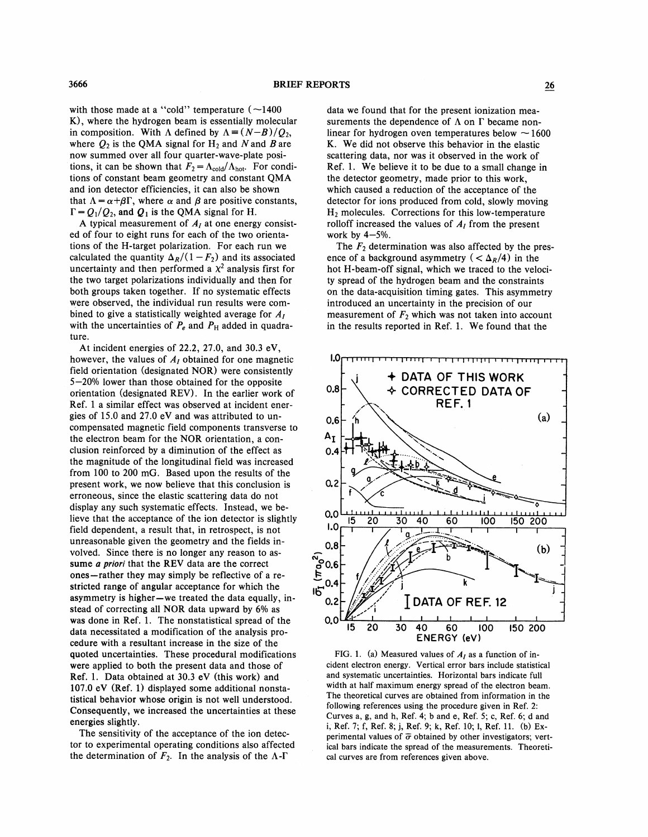with those made at a "cold" temperature  $(-1400$ K), where the hydrogen beam is essentially molecular in composition. With  $\Lambda$  defined by  $\Lambda = (N-B)/Q_2$ , where  $Q_2$  is the QMA signal for  $H_2$  and N and B are now summed over all four quarter-wave-plate positions, it can be shown that  $F_2 = \Lambda_{\text{cold}}/\Lambda_{\text{hot}}$ . For conditions of constant beam geometry and constant QMA and ion detector efficiencies, it can also be shown that  $\Lambda = \alpha + \beta \Gamma$ , where  $\alpha$  and  $\beta$  are positive constants,  $\Gamma = Q_1/Q_2$ , and  $Q_1$  is the QMA signal for H.

A typical measurement of  $A<sub>I</sub>$  at one energy consisted of four to eight runs for each of the two orientations of the H-target polarization. For each run we calculated the quantity  $\Delta_R/(1 - F_2)$  and its associated uncertainty and then performed a  $x^2$  analysis first for the two target polarizations individually and then for both groups taken together. If no systematic effects were observed, the individual run results were combined to give a statistically weighted average for *AI*  with the uncertainties of  $P_e$  and  $P_H$  added in quadrature.

At incident energies of 22.2, 27.0, and 30.3 eV, however, the values of *AI* obtained for one magnetic field orientation (designated NOR) were consistently 5-20% lower than those obtained for the opposite orientation (designated REV). In the earlier work of Ref. 1 a similar effect was observed at incident energies of 15.0 and 27.0 eV and was attributed to uncompensated magnetic field components transverse to the electron beam for the NOR orientation, a conclusion reinforced by a diminution of the effect as the magnitude of the longitudinal field was increased from 100 to 200 mG. Based upon the results of the present work, we now believe that this conclusion is erroneous, since the elastic scattering data do not display any such systematic effects. Instead, we believe that the acceptance of the ion detector is slightly field dependent, a result that, in retrospect, is not unreasonable given the geometry and the fields involved. Since there is no longer any reason to assume a **priori** that the REV data are the correct ones-rather they may simply be reflective of a restricted range of angular acceptance for which the asymmetry is higher-we treated the data equally, instead of correcting all NOR data upward by 6% as was done in Ref. 1. The nonstatistical spread of the data necessitated a modification of the analysis procedure with a resultant increase in the size of the quoted uncertainties. These procedural modifications were applied to both the present data and those of Ref. I. Data obtained at 30.3 eV (this work) and 107.0 eV (Ref. 1) displayed some additional nonstatistical behavior whose origin is not well understood. Consequently, we increased the uncertainties at these energies slightly.

The sensitivity of the acceptance of the ion detector to experimental operating conditions also affected the determination of  $F_2$ . In the analysis of the  $\Lambda$ - $\Gamma$ 

data we found that for the present ionization measurements the dependence of  $\Lambda$  on  $\Gamma$  became non-<br>linear for hydrogen oven temperatures below  $\sim 1600$ K. We did not observe this behavior in the elastic scattering data, nor was it observed in the work of Ref. 1. We believe it to be due to a small change in the detector geometry, made prior to this work, which caused a reduction of the acceptance of the detector for ions produced from cold, slowly moving  $H_2$  molecules. Corrections for this low-temperature rolloff increased the values of  $A_I$  from the present work by  $4-5%$ .

The  $F_2$  determination was also affected by the presence of a background asymmetry ( $\langle \Delta_R/4 \rangle$ ) in the hot H-beam-off signal, which we traced to the velocity spread of the hydrogen beam and the constraints on the data-acquisition timing gates. This asymmetry introduced an uncertainty in the precision of our measurement of  $F_2$  which was not taken into account in the results reported in Ref. 1. We found that the



FIG. 1. (a) Measured values of  $A<sub>I</sub>$  as a function of incident electron energy. Vertical error bars include statistical and systematic uncertainties. Horizontal bars indicate full width at half maximum energy spread of the electron beam. The theoretical curves are obtained from information in the following references using the procedure given in Ref. **2:**  Curves a, g, and h, Ref. 4; b and e, Ref. 5; c, Ref. *6;* d and i, Ref. 7; f, Ref. 8; j, Ref. 9; k, Ref. 10; 1, Ref. 11. (b) Experimental values of  $\bar{\sigma}$  obtained by other investigators; vertical bars indicate the spread of the measurements. Theoretical curves are from references given above.